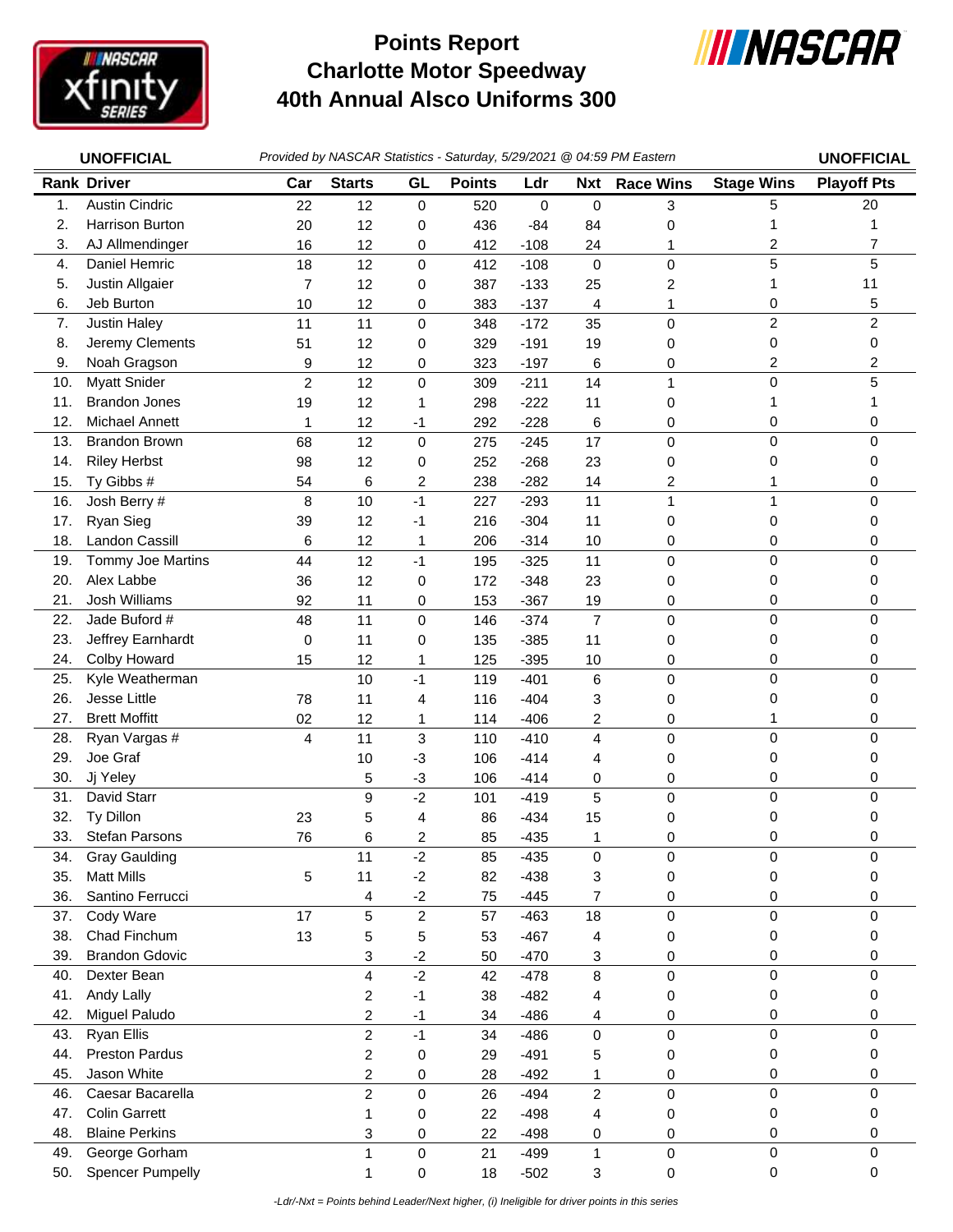

## **Charlotte Motor Speedway 40th Annual Alsco Uniforms 300 Points Report**



|     | <b>UNOFFICIAL</b>       |                |                         |                     |               |        |                | Provided by NASCAR Statistics - Saturday, 5/29/2021 @ 04:59 PM Eastern |                   | <b>UNOFFICIAL</b>  |
|-----|-------------------------|----------------|-------------------------|---------------------|---------------|--------|----------------|------------------------------------------------------------------------|-------------------|--------------------|
|     | <b>Rank Driver</b>      | Car            | <b>Starts</b>           | GL                  | <b>Points</b> | Ldr    | <b>Nxt</b>     | <b>Race Wins</b>                                                       | <b>Stage Wins</b> | <b>Playoff Pts</b> |
| 1.  | <b>Austin Cindric</b>   | 22             | 12                      | $\pmb{0}$           | 520           | 0      | $\mathbf 0$    | 3                                                                      | 5                 | 20                 |
| 2.  | Harrison Burton         | 20             | 12                      | 0                   | 436           | -84    | 84             | 0                                                                      | 1                 |                    |
| 3.  | AJ Allmendinger         | 16             | 12                      | 0                   | 412           | $-108$ | 24             | 1                                                                      | $\overline{c}$    | $\overline{7}$     |
| 4.  | Daniel Hemric           | 18             | 12                      | $\mathbf 0$         | 412           | $-108$ | $\mathbf 0$    | 0                                                                      | 5                 | 5                  |
| 5.  | Justin Allgaier         | 7              | 12                      | 0                   | 387           | $-133$ | 25             | 2                                                                      | 1                 | 11                 |
| 6.  | Jeb Burton              | 10             | 12                      | 0                   | 383           | $-137$ | 4              | 1                                                                      | 0                 | 5                  |
| 7.  | Justin Haley            | 11             | 11                      | $\mathbf 0$         | 348           | $-172$ | 35             | 0                                                                      | $\overline{c}$    | $\overline{c}$     |
| 8.  | Jeremy Clements         | 51             | 12                      | 0                   | 329           | $-191$ | 19             | 0                                                                      | 0                 | 0                  |
| 9.  | Noah Gragson            | 9              | 12                      | 0                   | 323           | $-197$ | 6              | 0                                                                      | 2                 | 2                  |
| 10. | <b>Myatt Snider</b>     | $\overline{2}$ | 12                      | $\mathbf 0$         | 309           | $-211$ | 14             | 1                                                                      | $\mathbf 0$       | 5                  |
| 11. | <b>Brandon Jones</b>    | 19             | 12                      | 1                   | 298           | $-222$ | 11             | 0                                                                      | 1                 |                    |
| 12. | <b>Michael Annett</b>   | 1              | 12                      | -1                  | 292           | $-228$ | 6              | 0                                                                      | 0                 | 0                  |
| 13. | <b>Brandon Brown</b>    | 68             | 12                      | $\pmb{0}$           | 275           | $-245$ | 17             | $\mathsf 0$                                                            | $\pmb{0}$         | $\mathbf 0$        |
| 14. | <b>Riley Herbst</b>     | 98             | 12                      | 0                   | 252           | $-268$ | 23             | 0                                                                      | 0                 | 0                  |
| 15. | Ty Gibbs #              | 54             | 6                       | 2                   | 238           | $-282$ | 14             | 2                                                                      |                   | 0                  |
| 16. | Josh Berry #            | 8              | 10                      | $-1$                | 227           | $-293$ | 11             | $\mathbf{1}$                                                           | $\mathbf{1}$      | $\mathbf 0$        |
| 17. | Ryan Sieg               | 39             | 12                      | -1                  | 216           | $-304$ | 11             | 0                                                                      | 0                 | 0                  |
| 18. | <b>Landon Cassill</b>   | 6              | 12                      | 1                   | 206           | $-314$ | 10             | 0                                                                      | 0                 | 0                  |
| 19. | Tommy Joe Martins       | 44             | 12                      | $-1$                | 195           | $-325$ | 11             | 0                                                                      | $\mathbf 0$       | 0                  |
| 20. | Alex Labbe              | 36             | 12                      | 0                   | 172           | $-348$ | 23             | 0                                                                      | 0                 | 0                  |
| 21. | Josh Williams           | 92             | 11                      | 0                   | 153           | $-367$ | 19             | 0                                                                      | 0                 | 0                  |
| 22. | Jade Buford #           | 48             | 11                      | $\pmb{0}$           | 146           | $-374$ | $\overline{7}$ | 0                                                                      | $\mathbf 0$       | $\Omega$           |
| 23. | Jeffrey Earnhardt       | 0              | 11                      | 0                   | 135           | $-385$ | 11             | 0                                                                      | 0                 | 0                  |
| 24. | Colby Howard            | 15             | 12                      | 1                   | 125           | $-395$ | 10             | 0                                                                      | 0                 | 0                  |
| 25. | Kyle Weatherman         |                | 10                      | $-1$                | 119           | $-401$ | $\,6\,$        | 0                                                                      | $\mathbf 0$       | $\Omega$           |
| 26. | Jesse Little            | 78             | 11                      | 4                   | 116           | $-404$ | 3              | 0                                                                      | 0                 | 0                  |
| 27. | <b>Brett Moffitt</b>    | 02             | 12                      | 1                   | 114           | $-406$ | 2              | 0                                                                      | 1                 | 0                  |
| 28. | Ryan Vargas #           | 4              | 11                      | $\mathbf 3$         | 110           | $-410$ | 4              | 0                                                                      | $\mathbf 0$       | 0                  |
| 29. | Joe Graf                |                | 10                      | $-3$                | 106           | $-414$ | 4              | 0                                                                      | 0                 | 0                  |
| 30. | Jj Yeley                |                | 5                       | $-3$                | 106           | $-414$ | 0              | 0                                                                      | 0                 | 0                  |
| 31. | David Starr             |                | $\boldsymbol{9}$        | $-2$                | 101           | $-419$ | 5              | 0                                                                      | $\pmb{0}$         | $\mathbf 0$        |
| 32. | Ty Dillon               | 23             | 5                       | 4                   | 86            | $-434$ | 15             | 0                                                                      | 0                 | 0                  |
| 33. | <b>Stefan Parsons</b>   | 76             | 6                       | 2                   | 85            | $-435$ | 1              | 0                                                                      | 0                 | 0                  |
| 34. | <b>Gray Gaulding</b>    |                | 11                      | $-2$                | 85            | $-435$ | 0              | $\pmb{0}$                                                              | 0                 | 0                  |
| 35. | <b>Matt Mills</b>       | 5              | 11                      | $-2$                | 82            | $-438$ | 3              | 0                                                                      | 0                 | 0                  |
| 36. | Santino Ferrucci        |                | 4                       | $-2$                | 75            | $-445$ | $\overline{7}$ | 0                                                                      | 0                 | 0                  |
| 37. | Cody Ware               | 17             | 5                       | $\mathbf 2$         | 57            | $-463$ | 18             | $\mathsf 0$                                                            | $\mathbf 0$       | $\Omega$           |
| 38. | Chad Finchum            | 13             | 5                       | 5                   | 53            | $-467$ | 4              | 0                                                                      | 0                 | 0                  |
| 39. | <b>Brandon Gdovic</b>   |                | 3                       | $-2$                | 50            | $-470$ | 3              | 0                                                                      | 0                 | 0                  |
| 40. | Dexter Bean             |                | 4                       | $-2$                | 42            | $-478$ | 8              | $\mathsf 0$                                                            | $\pmb{0}$         | $\mathbf 0$        |
| 41. | Andy Lally              |                | $\overline{\mathbf{c}}$ | $-1$                | 38            | $-482$ | 4              | 0                                                                      | 0                 | 0                  |
| 42. | Miguel Paludo           |                | $\overline{c}$          | $-1$                | 34            | $-486$ | 4              | 0                                                                      | 0                 | 0                  |
| 43. | <b>Ryan Ellis</b>       |                | $\overline{c}$          | $-1$                | 34            | $-486$ | $\mathbf 0$    | $\mathsf 0$                                                            | $\mathbf 0$       | $\mathbf 0$        |
| 44. | <b>Preston Pardus</b>   |                | $\overline{c}$          | $\mathbf 0$         | 29            | $-491$ | 5              | 0                                                                      | 0                 | 0                  |
| 45. | Jason White             |                | $\sqrt{2}$              | 0                   | 28            | $-492$ | 1              | 0                                                                      | 0                 | 0                  |
| 46. | Caesar Bacarella        |                | $\overline{2}$          | $\pmb{0}$           | 26            | $-494$ | $\overline{c}$ | 0                                                                      | $\pmb{0}$         | $\mathbf 0$        |
| 47. | <b>Colin Garrett</b>    |                | 1                       | 0                   | 22            | $-498$ | 4              | 0                                                                      | 0                 | 0                  |
| 48. | <b>Blaine Perkins</b>   |                | 3                       | 0                   | 22            | $-498$ | 0              | 0                                                                      | 0                 | 0                  |
| 49. | George Gorham           |                | $\mathbf{1}$            | $\mathsf{O}\xspace$ | 21            | $-499$ | 1              | 0                                                                      | 0                 | 0                  |
| 50. | <b>Spencer Pumpelly</b> |                | 1                       | 0                   | 18            | $-502$ | 3              | 0                                                                      | 0                 | $\mathbf 0$        |